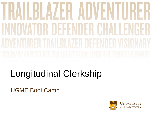# V - N A H **THE NOER CHALL** H

## Longitudinal Clerkship

UGME Boot Camp

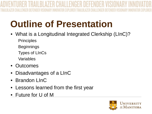# **Outline of Presentation**

- What is a Longitudinal Integrated Clerkship (LInC)? **Principles Beginnings** Types of LInCs Variables
- Outcomes
- Disadvantages of a LInC
- Brandon LInC
- Lessons learned from the first year
- Future for U of M

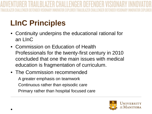### **LInC Principles**

- Continuity underpins the educational rational for an LInC
- Commission on Education of Health Professionals for the twenty-first century in 2010 concluded that one the main issues with medical education is fragmentation of curriculum.
- The Commission recommended A greater emphasis on teamwork Continuous rather than episodic care Primary rather than hospital focused care

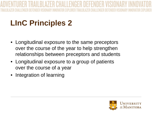### **LInC Principles 2**

- Longitudinal exposure to the same preceptors over the course of the year to help strengthen relationships between preceptors and students
- Longitudinal exposure to a group of patients over the course of a year
- Integration of learning

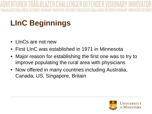### **LInC Beginnings**

- LInCs are not new
- First LInC was established in 1971 in Minnesota
- Major reason for establishing the first one was to try to improve populating the rural area with physicians
- Now offered in many countries including Australia, Canada, US, Singapore, Britain

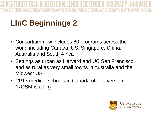### **LInC Beginnings 2**

- Consortium now includes 80 programs across the world including Canada, US, Singapore, China, Australia and South Africa
- Settings as urban as Harvard and UC San Francisco and as rural as very small towns in Australia and the Midwest US
- 11/17 medical schools in Canada offer a version (NOSM is all in)

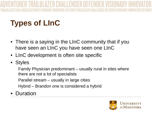### **Types of LInC**

- There is a saying in the LInC community that if you have seen an LInC you have seen one LInC
- LInC development is often site specific
- Styles

Family Physician predominant – usually rural in sites where there are not a lot of specialists Parallel stream – usually in large cities

Hybrid – Brandon one is considered a hybrid

**Duration** 

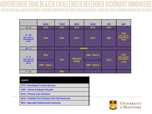### **RAILBLAZER CHALLEN GER DEFENDER** DEFENDER VISIONARY INNOVATOR EXPLORER TRAILBLAZER CHALLENGER

|                                                  | <b>MON</b>   | <b>TUES</b> | <b>WED</b>      | <b>THUR</b>  | <b>FRI</b> | W/E                                                |  |  |  |
|--------------------------------------------------|--------------|-------------|-----------------|--------------|------------|----------------------------------------------------|--|--|--|
| $8 - 9$                                          | <b>HCS</b>   | <b>HCS</b>  | <b>HCS</b>      | <b>HCS</b>   | <b>HCS</b> |                                                    |  |  |  |
| $9 - 12$<br>(you may be<br>scheduled to<br>work) | <b>PCS</b>   | <b>PCS</b>  | <b>PCS</b>      | <b>PCS</b>   | <b>SES</b> | <b>HCS</b><br>(you may be<br>scheduled to<br>work) |  |  |  |
| $12 - 1$                                         | <b>BREAK</b> |             |                 |              |            |                                                    |  |  |  |
| $1 - 4$<br>(you may be<br>scheduled to<br>work)  | <b>DTS</b>   | <b>PCS</b>  | <b>Personal</b> | VAR - Case 1 | <b>SES</b> | <b>HCS</b><br>(you may be<br>scheduled to<br>work) |  |  |  |
|                                                  | VAR - Case 1 |             | <b>Study</b>    | VAR - Case 2 |            |                                                    |  |  |  |
| $7 - 11$                                         |              | <b>HCS</b>  |                 |              |            |                                                    |  |  |  |

| Legend                                                 |
|--------------------------------------------------------|
| <b>DTS = Distributed Tutorial Session</b>              |
| VAR = Virtual Academic Rounds                          |
| <b>PCS = Primary Care Sessions</b>                     |
| <b>HCS = Hospital Care Sessions (On-Call Sessions)</b> |
| <b>SES = Specialty Enhancement Sessions</b>            |

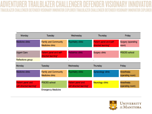### **TRAILBI A7FR CHALL ENGER DEFENDER** CHALLENGER DEFENDER VISIONARY INNOVATOR EXPLORER TRAILBLAZER CHALLENGER DEFENDER VISI

| Monday                                       | Tuesday                                        | Wednesday                                    | Thursday                                      | Friday                         |
|----------------------------------------------|------------------------------------------------|----------------------------------------------|-----------------------------------------------|--------------------------------|
| Medicine clinic                              | <b>Family and Community</b><br>Medicine clinic | Psychiatry clinic                            | Patient panel and self-<br>directed learning* | Surgery (operating<br>room)    |
| <b>Urgent Care</b>                           | Patient panel and self-<br>directed learning*  | Pediatrics clinic                            | Surgery clinic                                | <b>PISCES</b> school           |
| Reflections group                            |                                                | $\blacksquare$                               | $\bullet$                                     |                                |
| Monday                                       | Tuesday                                        | Wednesday                                    | Thursday                                      | Friday                         |
| Medicine clinic                              | <b>Family and Community</b><br>Medicine clinic | Psychiatry clinic                            | Gynecology clinic                             | Anesthesia<br>(operating room) |
| Patient panel and<br>self-directed learning* | <b>PISCES</b> school                           | Patient panel and<br>self-directed learning* | Neurology clinic                              | Anesthesia<br>(operating room) |
|                                              | <b>Emergency Medicine</b>                      |                                              |                                               |                                |

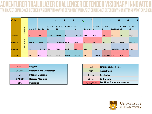### **CER DEFENDER** ER VISIONARY I ATOR FXPI ORFR TRAILRI A7FR CHALL ENGER

| <b>Weeks</b>     |               |                    | $\overline{2}$  | 3            | 4              | 51                     | 6              | $\overline{7}$   | 8              | $\overline{9}$        | 10             | 11             | 12           |
|------------------|---------------|--------------------|-----------------|--------------|----------------|------------------------|----------------|------------------|----------------|-----------------------|----------------|----------------|--------------|
|                  |               |                    |                 |              |                |                        |                |                  |                |                       |                |                |              |
|                  |               |                    |                 | Oct 15-Oct   | Oct 22-Oct     | Oct 29 - Nov Nov 5-Nov |                |                  |                | Nov 19-Nov Nov 26-Dec |                | Dec 10-Dec     | Dec 17-Dec   |
|                  |               | <b>Oct 1-Oct 7</b> | Oct 8-Oct 14 21 |              | 28             | 4                      | $ 11\rangle$   | <b>Nov 12-18</b> | <b>25</b>      | $\overline{2}$        | Dec 3-Dec 9 16 |                | 23           |
|                  | Pre-Clerkship |                    |                 |              |                |                        |                |                  |                |                       |                |                |              |
| <b>Student 1</b> |               | <b>SUR</b>         | <b>SUR</b>      | <b>OBGYN</b> | <b>OBGYN</b>   | <b>IM</b>              | <b>HSP MED</b> | <b>PEDS</b>      | <b>PEDS</b>    | <b>SUR</b>            | <b>EM</b>      | <b>ANA</b>     | Psych        |
|                  | Sept 29       |                    |                 |              |                |                        |                |                  |                |                       |                |                |              |
| <b>Student 2</b> | - 1           | <b>OBGYN</b>       | <b>OBGYN</b>    | <b>IM</b>    | <b>HSP MED</b> | <b>PEDS</b>            | <b>PEDS</b>    | <b>SUR</b>       | <b>SUR</b>     | <b>ANA</b>            | Psych          | Psych          | <b>OBGYN</b> |
|                  | Aug 28 -      |                    |                 |              |                |                        |                |                  |                |                       |                |                |              |
|                  |               |                    |                 |              |                |                        |                |                  |                |                       |                |                |              |
| <b>Student 3</b> |               | <b>IM</b>          | <b>HSP MED</b>  | <b>PEDS</b>  | <b>PEDS</b>    | Psych                  | <b>SUR</b>     | <b>ANA</b>       | Psych          | Psych                 | <b>HSP MED</b> | <b>HSP MED</b> | Ortho        |
|                  |               |                    |                 |              |                |                        |                |                  |                |                       |                |                |              |
| <b>Student 4</b> |               | <b>EM</b>          | <b>PEDS</b>     | Psych        | Psych          | <b>OBGYN</b>           | <b>OBGYN</b>   | <b>EM</b>        | <b>HSP MED</b> | Optha/ENT SUR         |                | <b>SUR</b>     | <b>IM</b>    |

| <b>SUR</b>     | <b>Surgery</b>                   |
|----------------|----------------------------------|
| <b>OBGYN</b>   | <b>Obstetrics and Gynecology</b> |
| IM             | <b>Internal Medicine</b>         |
| <b>HSP MED</b> | <b>Hospital Medicine</b>         |
| <b>PEDS</b>    | <b>Pediatrics</b>                |

| <b>Surgery</b>                   | EM.        | <b>Emergency Medicine</b>     |
|----------------------------------|------------|-------------------------------|
| <b>Obstetrics and Gynecology</b> | <b>ANA</b> | Anaesthesia                   |
| <b>Internal Medicine</b>         | Psych      | <b>Psychiatry</b>             |
| <b>Hospital Medicine</b>         | Ortho      | <b>Orthopedics</b>            |
| <b>Pediatrics</b>                | Optha/ENT  | Ear, Nose Throat, Opthamology |

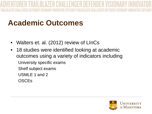- Walters et. al. (2012) review of LInCs
- 18 studies were identified looking at academic outcomes using a variety of indicators including University specific exams Shelf subject exams USMLE 1 and 2 **OSCEs**

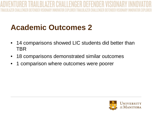- 14 comparisons showed LIC students did better than TBR
- 18 comparisons demonstrated similar outcomes
- 1 comparison where outcomes were poorer

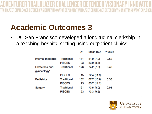• UC San Francisco developed a longitudinal clerkship in a teaching hospital setting using outpatient clinics

|                               |                                     | Ν         | Mean (SD)                  | P-value |
|-------------------------------|-------------------------------------|-----------|----------------------------|---------|
| Internal medicine             | <b>Traditional</b><br><b>PISCES</b> | 171<br>23 | 81.9 (7.9)<br>83.0 (8.3)   | 0.52    |
| Obstetrics and<br>gynecology* | <b>Traditional</b>                  | 176       | 74.2 (7.3)                 | 0.40    |
|                               | <b>PISCES</b>                       | 15        | 72.4 (11.9)                |         |
| Pediatrics                    | <b>Traditional</b><br><b>PISCES</b> | 182<br>23 | 87.7 (10.8)<br>85.7 (11.2) | 0.38    |
| Surgery                       | <b>Traditional</b><br><b>PISCES</b> | 191<br>23 | 73.5 (8.0)<br>73.3 (9.6)   | 0.93    |

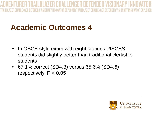- In OSCE style exam with eight stations PISCES students did slightly better than traditional clerkship students
- 67.1% correct (SD4.3) versus 65.6% (SD4.6) respectively,  $P < 0.05$

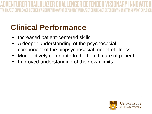### **Clinical Performance**

- Increased patient-centered skills
- A deeper understanding of the psychosocial component of the biopsychosocial model of illness
- More actively contribute to the health care of patient
- Improved understanding of their own limits.

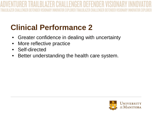### **Clinical Performance 2**

- Greater confidence in dealing with uncertainty
- More reflective practice
- Self-directed
- Better understanding the health care system.

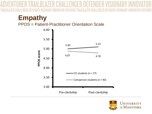### **Empathy**

PPOS = Patient-Practitioner Orientation Scale



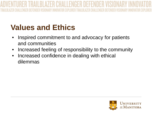### **Values and Ethics**

- Inspired commitment to and advocacy for patients and communities
- Increased feeling of responsibility to the community
- Increased confidence in dealing with ethical dilemmas

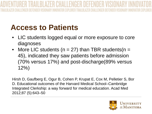### **Access to Patients**

- LIC students logged equal or more exposure to core diagnoses
- More LIC students ( $n = 27$ ) than TBR students ( $n =$ 45), indicated they saw patients before admission (70% versus 17%) and post-discharge(89% versus 12%)

Hirsh D, Gaufberg E, Ogur B, Cohen P, Krupat E, Cox M, Pelletier S, Bor D. Educational outcomes of the Harvard Medical School–Cambridge Integrated Clerkship: a way forward for medical education. Acad Med 2012;87 (5):643–50

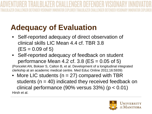### **Adequacy of Evaluation**

- Self-reported adequacy of direct observation of clinical skills LIC Mean 4.4 cf. TBR 3.8  $(ES = 0.09$  of 5)
- Self-reported adequacy of feedback on student performance Mean 4.2 cf. 3.8 ( $ES = 0.05$  of 5)

(Poncelet AN, Bokser S, Calton B, et al. Development of a longitudinal integrated clerkship at an academic medical centre. Med Educ Online 2011;16:5939)

• More LIC students ( $n = 27$ ) compared with TBR students ( $n = 40$ ) indicated they received feedback on clinical performance (90% versus  $33\%$ ) (p < 0.01) Hirsh et al.

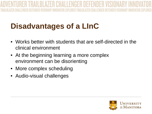### **Disadvantages of a LInC**

- Works better with students that are self-directed in the clinical environment
- At the beginning learning a more complex environment can be disorienting
- More complex scheduling
- Audio-visual challenges

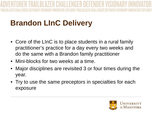- Core of the LInC is to place students in a rural family practitioner's practice for a day every two weeks and do the same with a Brandon family practitioner
- Mini-blocks for two weeks at a time.
- Major disciplines are revisited 3 or four times during the year.
- Try to use the same preceptors in specialties for each exposure

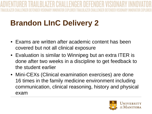- Exams are written after academic content has been covered but not all clinical exposure
- Evaluation is similar to Winnipeg but an extra ITER is done after two weeks in a discipline to get feedback to the student earlier
- Mini-CEXs (Clinical examination exercises) are done 16 times in the family medicine environment including communication, clinical reasoning, history and physical exam

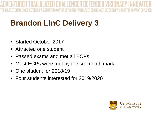- Started October 2017
- Attracted one student
- Passed exams and met all ECPs
- Most ECPs were met by the six-month mark
- One student for 2018/19
- Four students interested for 2019/2020

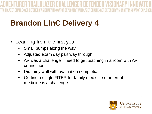- Learning from the first year
	- Small bumps along the way
	- Adjusted exam day part way through
	- AV was a challenge need to get teaching in a room with AV connection
	- Did fairly well with evaluation completion
	- Getting a single FITER for family medicine or internal medicine is a challenge

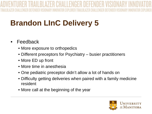- **Feedback** 
	- More exposure to orthopedics
	- Different preceptors for Psychiatry busier practitioners
	- More ED up front
	- More time in anesthesia
	- One pediatric preceptor didn't allow a lot of hands on
	- Difficulty getting deliveries when paired with a family medicine resident
	- More call at the beginning of the year

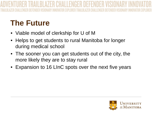### **The Future**

- Viable model of clerkship for U of M
- Helps to get students to rural Manitoba for longer during medical school
- The sooner you can get students out of the city, the more likely they are to stay rural
- Expansion to 16 LInC spots over the next five years

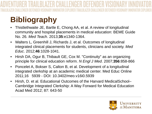### **Bibliography**

- Thistlethwaite JE, Bartle E, Chong AA, et al. A review of longitudinal community and hospital placements in medical education: BEME Guide No. 26. *Med Teach*. 2013;**35**:e1340-1364.
- Walters L, Greenhill J, Richards J, et al. Outcomes of longitudinal integrated clinical placements for students, clinicians and society. *Med Educ*. 2012;**46**:1028-1041.
- Hirsh DA, Ogur B, Thibault GE, Cox M. "Continuity" as an organizing principle for clinical education reform. *N Engl J Med*. 2007;**356**:858-866
- Poncelet A, Bokser S, Calton B, et al. Development of a longitudinal integrated clerkship at an academic medical center. Med Educ Online 2011;16 5939 - DOI: 10.3402/meo.v16i0.5939
- Hirsh, D. et al. Educational Outcomes of the Harvard MedicalSchool– Cambridge Integrated Clerkship: A Way Forward for Medical Education Acad Med 2012; 87: 643-50